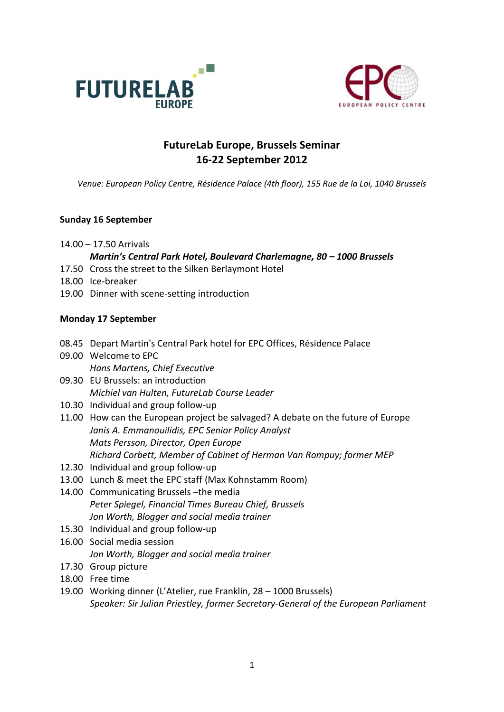



# **FutureLab Europe, Brussels Seminar 16-22 September 2012**

*Venue: European Policy Centre, Résidence Palace (4th floor), 155 Rue de la Loi, 1040 Brussels*

### **Sunday 16 September**

14.00 – 17.50 Arrivals

## *Martin's Central Park Hotel, Boulevard Charlemagne, 80 – 1000 Brussels*

- 17.50 Cross the street to the Silken Berlaymont Hotel
- 18.00 Ice-breaker
- 19.00 Dinner with scene-setting introduction

#### **Monday 17 September**

- 08.45 Depart Martin's Central Park hotel for EPC Offices, Résidence Palace
- 09.00 Welcome to EPC *Hans Martens, Chief Executive*
- 09.30 EU Brussels: an introduction *Michiel van Hulten, FutureLab Course Leader*
- 10.30 Individual and group follow-up
- 11.00 How can the European project be salvaged? A debate on the future of Europe *Janis A. Emmanouilidis, EPC Senior Policy Analyst Mats Persson, Director, Open Europe Richard Corbett, Member of Cabinet of Herman Van Rompuy; former MEP*
- 12.30 Individual and group follow-up
- 13.00 Lunch & meet the EPC staff (Max Kohnstamm Room)
- 14.00 Communicating Brussels –the media *Peter Spiegel, Financial Times Bureau Chief, Brussels Jon Worth, Blogger and social media trainer*
- 15.30 Individual and group follow-up
- 16.00 Social media session *Jon Worth, Blogger and social media trainer*
- 17.30 Group picture
- 18.00 Free time
- 19.00 Working dinner (L'Atelier, rue Franklin, 28 1000 Brussels) *Speaker: Sir Julian Priestley, former Secretary-General of the European Parliament*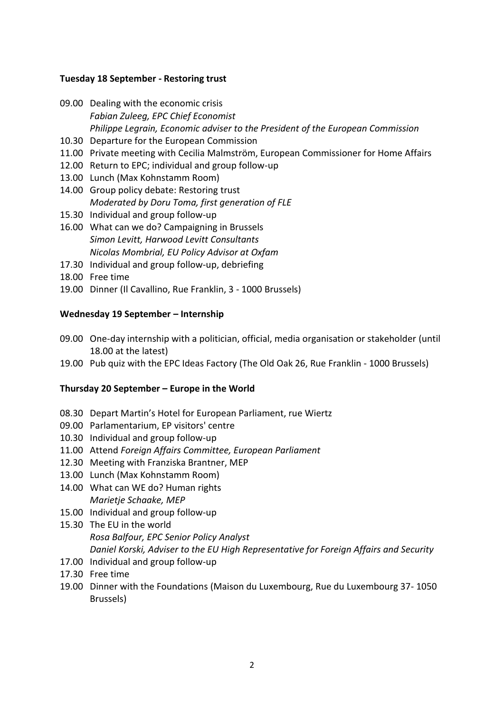#### **Tuesday 18 September - Restoring trust**

- 09.00 Dealing with the economic crisis *Fabian Zuleeg, EPC Chief Economist Philippe Legrain, Economic adviser to the President of the European Commission*
- 10.30 Departure for the European Commission
- 11.00 Private meeting with Cecilia Malmström, European Commissioner for Home Affairs
- 12.00 Return to EPC; individual and group follow-up
- 13.00 Lunch (Max Kohnstamm Room)
- 14.00 Group policy debate: Restoring trust *Moderated by Doru Toma, first generation of FLE*
- 15.30 Individual and group follow-up
- 16.00 What can we do? Campaigning in Brussels *Simon Levitt, Harwood Levitt Consultants Nicolas Mombrial, EU Policy Advisor at Oxfam*
- 17.30 Individual and group follow-up, debriefing
- 18.00 Free time
- 19.00 Dinner (Il Cavallino, Rue Franklin, 3 1000 Brussels)

#### **Wednesday 19 September – Internship**

- 09.00 One-day internship with a politician, official, media organisation or stakeholder (until 18.00 at the latest)
- 19.00 Pub quiz with the EPC Ideas Factory (The Old Oak 26, Rue Franklin 1000 Brussels)

#### **Thursday 20 September – Europe in the World**

- 08.30 Depart Martin's Hotel for European Parliament, rue Wiertz
- 09.00 Parlamentarium, EP visitors' centre
- 10.30 Individual and group follow-up
- 11.00 Attend *Foreign Affairs Committee, European Parliament*
- 12.30 Meeting with Franziska Brantner, MEP
- 13.00 Lunch (Max Kohnstamm Room)
- 14.00 What can WE do? Human rights *Marietje Schaake, MEP*
- 15.00 Individual and group follow-up
- 15.30 The EU in the world *Rosa Balfour, EPC Senior Policy Analyst Daniel Korski, Adviser to the EU High Representative for Foreign Affairs and Security*
- 17.00 Individual and group follow-up
- 17.30 Free time
- 19.00 Dinner with the Foundations (Maison du Luxembourg, Rue du Luxembourg 37- 1050 Brussels)